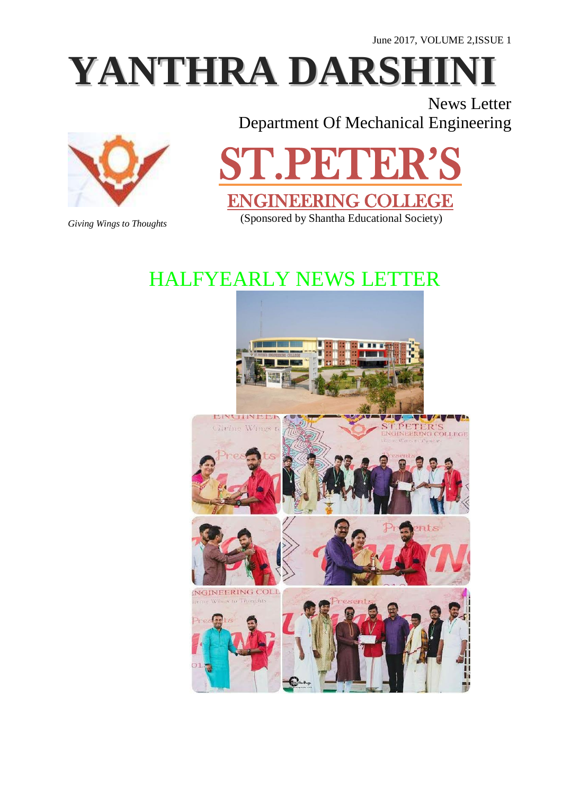June 2017, VOLUME 2,ISSUE 1

# **YANTHRA DARSH**

News Letter Department Of Mechanical Engineering



*Giving Wings to Thoughts*

## ST.PETER'S ENGINEERING COLLEGE

(Sponsored by Shantha Educational Society)

### HALFYEARLY NEWS LETTER

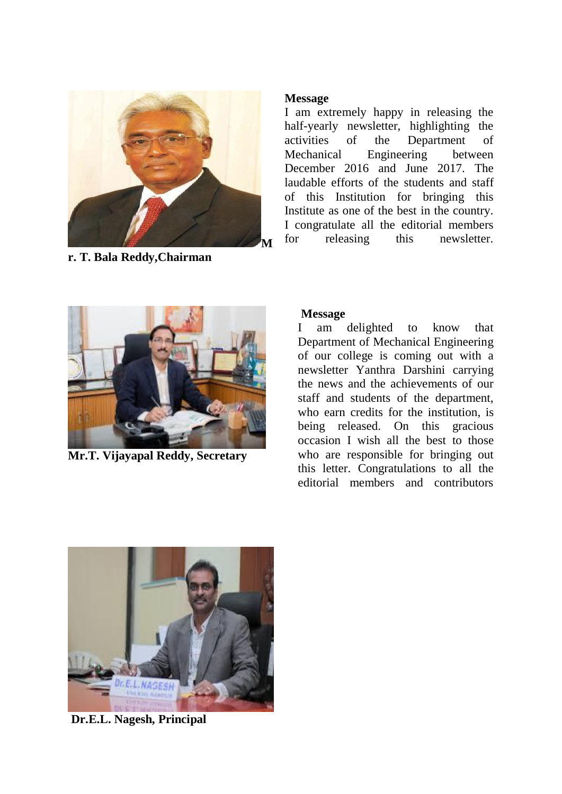

**r. T. Bala Reddy,Chairman**

#### **Message**

I am extremely happy in releasing the half-yearly newsletter, highlighting the activities of the Department of Mechanical Engineering between December 2016 and June 2017. The laudable efforts of the students and staff of this Institution for bringing this Institute as one of the best in the country. I congratulate all the editorial members for releasing this newsletter.



**Mr.T. Vijayapal Reddy, Secretary**

#### **Message**

I am delighted to know that Department of Mechanical Engineering of our college is coming out with a newsletter Yanthra Darshini carrying the news and the achievements of our staff and students of the department, who earn credits for the institution, is being released. On this gracious occasion I wish all the best to those who are responsible for bringing out this letter. Congratulations to all the editorial members and contributors



**Dr.E.L. Nagesh, Principal**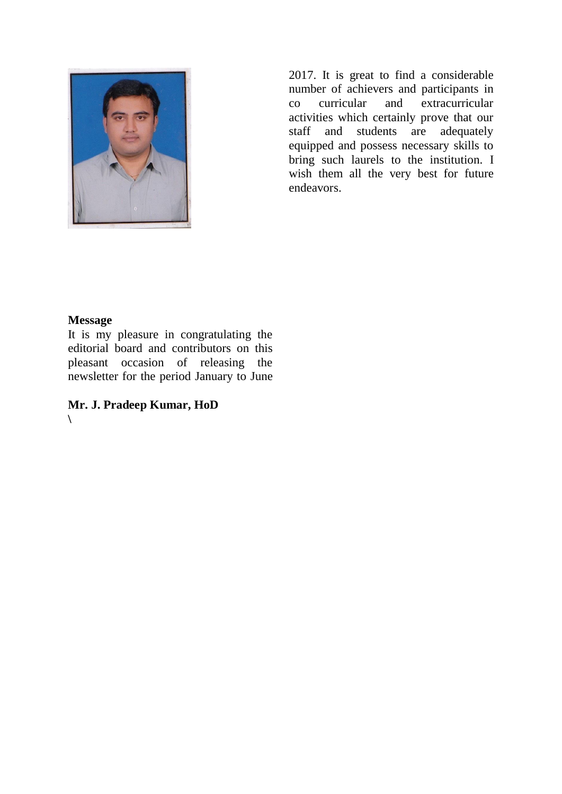

2017. It is great to find a considerable number of achievers and participants in co curricular and extracurricular activities which certainly prove that our staff and students are adequately equipped and possess necessary skills to bring such laurels to the institution. I wish them all the very best for future endeavors.

#### **Message**

It is my pleasure in congratulating the editorial board and contributors on this pleasant occasion of releasing the newsletter for the period January to June

**Mr. J. Pradeep Kumar, HoD \**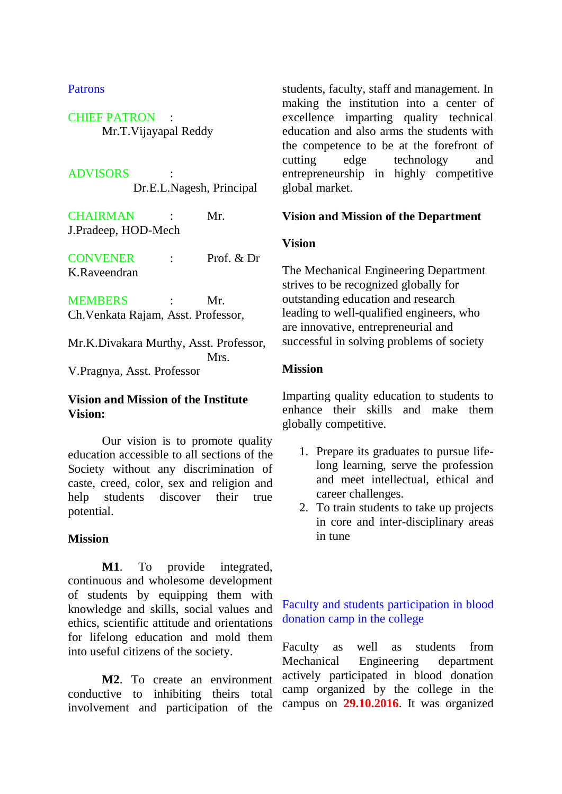#### Patrons

CHIEF PATRON : Mr.T.Vijayapal Reddy

#### **ADVISORS**

Dr.E.L.Nagesh, Principal

CHAIRMAN : Mr. J.Pradeep, HOD-Mech

CONVENER : Prof. & Dr K.Raveendran

MEMBERS : Mr. Ch.Venkata Rajam, Asst. Professor,

Mr.K.Divakara Murthy, Asst. Professor, Mrs. V.Pragnya, Asst. Professor

#### **Vision and Mission of the Institute Vision:**

Our vision is to promote quality education accessible to all sections of the Society without any discrimination of caste, creed, color, sex and religion and help students discover their true potential.

#### **Mission**

**M1**. To provide integrated, continuous and wholesome development of students by equipping them with knowledge and skills, social values and ethics, scientific attitude and orientations for lifelong education and mold them into useful citizens of the society.

**M2**. To create an environment conductive to inhibiting theirs total involvement and participation of the

students, faculty, staff and management. In making the institution into a center of excellence imparting quality technical education and also arms the students with the competence to be at the forefront of cutting edge technology and entrepreneurship in highly competitive global market.

#### **Vision and Mission of the Department**

#### **Vision**

The Mechanical Engineering Department strives to be recognized globally for outstanding education and research leading to well-qualified engineers, who are innovative, entrepreneurial and successful in solving problems of society

#### **Mission**

Imparting quality education to students to enhance their skills and make them globally competitive.

- 1. Prepare its graduates to pursue lifelong learning, serve the profession and meet intellectual, ethical and career challenges.
- 2. To train students to take up projects in core and inter-disciplinary areas in tune

#### Faculty and students participation in blood donation camp in the college

Faculty as well as students from Mechanical Engineering department actively participated in blood donation camp organized by the college in the campus on **29.10.2016**. It was organized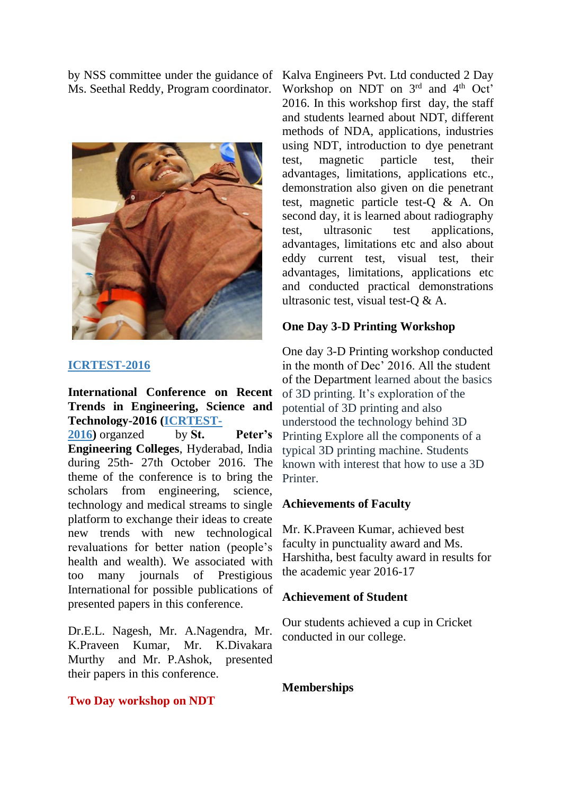by NSS committee under the guidance of Ms. Seethal Reddy, Program coordinator.



#### **[ICRTEST-2016](http://icrtest.org/)**

**International Conference on Recent Trends in Engineering, Science and Technology-2016 [\(ICRTEST-](http://icrtest.org/)**

**[2016\)](http://icrtest.org/)** organzed by **St. Peter's Engineering Colleges**, Hyderabad, India during 25th- 27th October 2016. The theme of the conference is to bring the scholars from engineering, science, technology and medical streams to single platform to exchange their ideas to create new trends with new technological revaluations for better nation (people's health and wealth). We associated with too many journals of Prestigious International for possible publications of presented papers in this conference.

Dr.E.L. Nagesh, Mr. A.Nagendra, Mr. K.Praveen Kumar, Mr. K.Divakara Murthy and Mr. P.Ashok, presented their papers in this conference.

Kalva Engineers Pvt. Ltd conducted 2 Day Workshop on NDT on 3rd and 4<sup>th</sup> Oct' 2016. In this workshop first day, the staff and students learned about NDT, different methods of NDA, applications, industries using NDT, introduction to dye penetrant test, magnetic particle test, their advantages, limitations, applications etc., demonstration also given on die penetrant test, magnetic particle test-Q & A. On second day, it is learned about radiography test, ultrasonic test applications, advantages, limitations etc and also about eddy current test, visual test, their advantages, limitations, applications etc and conducted practical demonstrations ultrasonic test, visual test-Q & A.

#### **One Day 3-D Printing Workshop**

One day 3-D Printing workshop conducted in the month of Dec' 2016. All the student of the Department learned about the basics of 3D printing. It's exploration of the potential of 3D printing and also understood the technology behind 3D Printing Explore all the components of a typical 3D printing machine. Students known with interest that how to use a 3D **Printer** 

#### **Achievements of Faculty**

Mr. K.Praveen Kumar, achieved best faculty in punctuality award and Ms. Harshitha, best faculty award in results for the academic year 2016-17

#### **Achievement of Student**

Our students achieved a cup in Cricket conducted in our college.

#### **Memberships**

#### **Two Day workshop on NDT**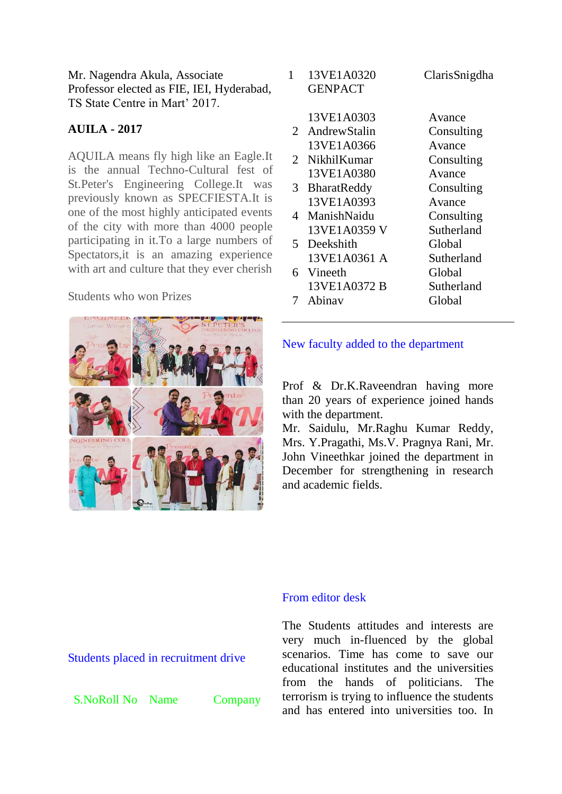Mr. Nagendra Akula, Associate Professor elected as FIE, IEI, Hyderabad, TS State Centre in Mart' 2017.

#### **AUILA - 2017**

AQUILA means fly high like an Eagle.It is the annual Techno-Cultural fest of St.Peter's Engineering College.It was previously known as SPECFIESTA.It is one of the most highly anticipated events of the city with more than 4000 people participating in it.To a large numbers of Spectators,it is an amazing experience with art and culture that they ever cherish

#### Students who won Prizes



| 1                     | 13VE1A0320<br><b>GENPACT</b> | ClarisSnigdha |
|-----------------------|------------------------------|---------------|
|                       | 13VE1A0303                   | Avance        |
|                       | 2 AndrewStalin               | Consulting    |
|                       | 13VE1A0366                   | Avance        |
| $\mathcal{D}_{\cdot}$ | <b>NikhilKumar</b>           | Consulting    |
|                       | 13VE1A0380                   | Avance        |
| 3                     | <b>BharatReddy</b>           | Consulting    |
|                       | 13VE1A0393                   | Avance        |
|                       | 4 ManishNaidu                | Consulting    |
|                       | 13VE1A0359 V                 | Sutherland    |
|                       | 5 Deekshith                  | Global        |
|                       | 13VE1A0361 A                 | Sutherland    |
| 6                     | Vineeth                      | Global        |
|                       | 13VE1A0372 B                 | Sutherland    |
|                       | Abinay                       | Global        |
|                       |                              |               |

#### New faculty added to the department

Prof & Dr.K.Raveendran having more than 20 years of experience joined hands with the department.

Mr. Saidulu, Mr.Raghu Kumar Reddy, Mrs. Y.Pragathi, Ms.V. Pragnya Rani, Mr. John Vineethkar joined the department in December for strengthening in research and academic fields.

#### From editor desk

The Students attitudes and interests are very much in-fluenced by the global scenarios. Time has come to save our educational institutes and the universities from the hands of politicians. The terrorism is trying to influence the students and has entered into universities too. In

Students placed in recruitment drive

S.NoRoll No Name Company